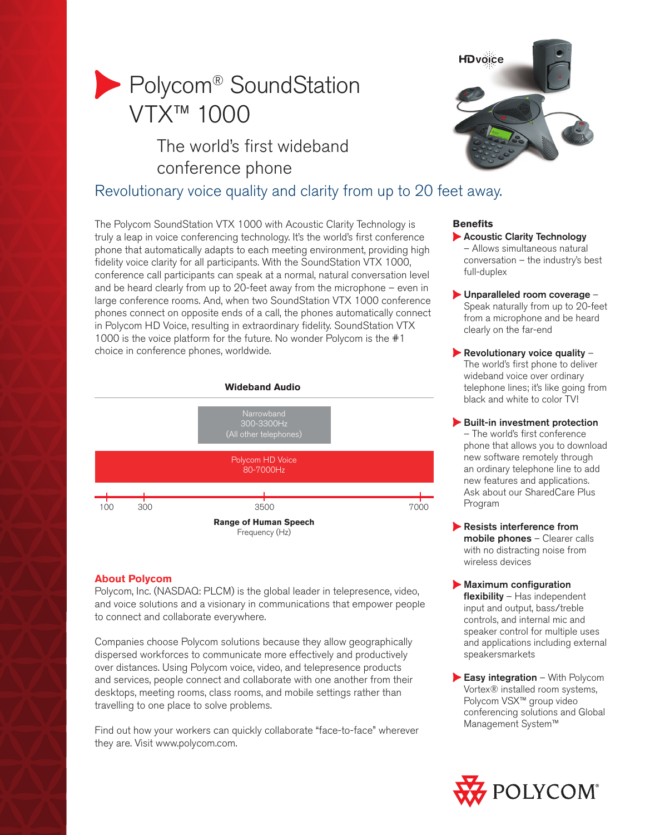# **Polycom® SoundStation** VTX™ 1000

## The world's first wideband conference phone



## Revolutionary voice quality and clarity from up to 20 feet away.

The Polycom SoundStation VTX 1000 with Acoustic Clarity Technology is truly a leap in voice conferencing technology. It's the world's first conference phone that automatically adapts to each meeting environment, providing high fidelity voice clarity for all participants. With the SoundStation VTX 1000, conference call participants can speak at a normal, natural conversation level and be heard clearly from up to 20-feet away from the microphone – even in large conference rooms. And, when two SoundStation VTX 1000 conference phones connect on opposite ends of a call, the phones automatically connect in Polycom HD Voice, resulting in extraordinary fidelity. SoundStation VTX 1000 is the voice platform for the future. No wonder Polycom is the #1 choice in conference phones, worldwide.





## **About Polycom**

Polycom, Inc. (NASDAQ: PLCM) is the global leader in telepresence, video, and voice solutions and a visionary in communications that empower people to connect and collaborate everywhere.

Companies choose Polycom solutions because they allow geographically dispersed workforces to communicate more effectively and productively over distances. Using Polycom voice, video, and telepresence products and services, people connect and collaborate with one another from their desktops, meeting rooms, class rooms, and mobile settings rather than travelling to one place to solve problems.

Find out how your workers can quickly collaborate "face-to-face" wherever they are. Visit www.polycom.com.

## **Benefits**

- **Acoustic Clarity Technology** – Allows simultaneous natural conversation – the industry's best full-duplex
- Unparalleled room coverage Speak naturally from up to 20-feet from a microphone and be heard clearly on the far-end
- Revolutionary voice quality  $-$ The world's first phone to deliver wideband voice over ordinary telephone lines; it's like going from black and white to color TV!
- Built-in investment protection – The world's first conference phone that allows you to download new software remotely through an ordinary telephone line to add new features and applications. Ask about our SharedCare Plus Program
- Resists interference from mobile phones – Clearer calls with no distracting noise from wireless devices
- **Maximum configuration** flexibility - Has independent input and output, bass/treble controls, and internal mic and speaker control for multiple uses and applications including external speakersmarkets
- Easy integration With Polycom Vortex® installed room systems, Polycom VSX™ group video conferencing solutions and Global Management System™